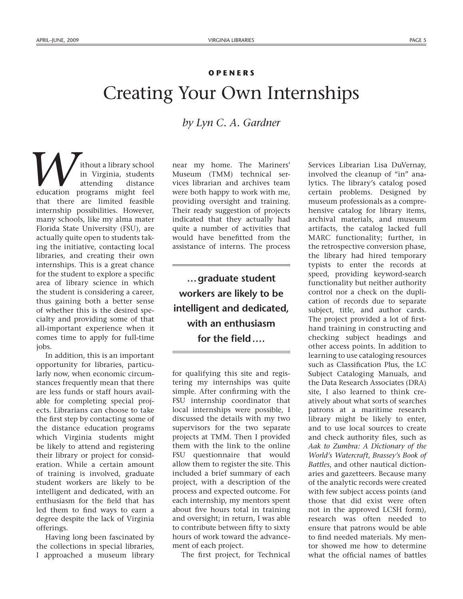## **OPENERS**

## Creating Your Own Internships

*by Lyn C. A. Gardner*

ithout a library school in Virginia, students attending distance *M* ithout a library school<br>in Virginia, students<br>attending distance<br>education programs might feel that there are limited feasible internship possibilities. However, many schools, like my alma mater Florida State University (FSU), are actually quite open to students taking the initiative, contacting local libraries, and creating their own internships. This is a great chance for the student to explore a specific area of library science in which the student is considering a career, thus gaining both a better sense of whether this is the desired specialty and providing some of that all-important experience when it comes time to apply for full-time jobs.

In addition, this is an important opportunity for libraries, particularly now, when economic circumstances frequently mean that there are less funds or staff hours available for completing special projects. Librarians can choose to take the first step by contacting some of the distance education programs which Virginia students might be likely to attend and registering their library or project for consideration. While a certain amount of training is involved, graduate student workers are likely to be intelligent and dedicated, with an enthusiasm for the field that has led them to find ways to earn a degree despite the lack of Virginia offerings.

Having long been fascinated by the collections in special libraries, I approached a museum library near my home. The Mariners' Museum (TMM) technical services librarian and archives team were both happy to work with me, providing oversight and training. Their ready suggestion of projects indicated that they actually had quite a number of activities that would have benefitted from the assistance of interns. The process

**…graduate student workers are likely to be intelligent and dedicated, with an enthusiasm for the field….**

for qualifying this site and registering my internships was quite simple. After confirming with the FSU internship coordinator that local internships were possible, I discussed the details with my two supervisors for the two separate projects at TMM. Then I provided them with the link to the online FSU questionnaire that would allow them to register the site. This included a brief summary of each project, with a description of the process and expected outcome. For each internship, my mentors spent about five hours total in training and oversight; in return, I was able to contribute between fifty to sixty hours of work toward the advancement of each project.

The first project, for Technical

Services Librarian Lisa DuVernay, involved the cleanup of "in" analytics. The library's catalog posed certain problems. Designed by museum professionals as a comprehensive catalog for library items, archival materials, and museum artifacts, the catalog lacked full MARC functionality; further, in the retrospective conversion phase, the library had hired temporary typists to enter the records at speed, providing keyword-search functionality but neither authority control nor a check on the duplication of records due to separate subject, title, and author cards. The project provided a lot of firsthand training in constructing and checking subject headings and other access points. In addition to learning to use cataloging resources such as Classification Plus, the LC Subject Cataloging Manuals, and the Data Research Associates (DRA) site, I also learned to think creatively about what sorts of searches patrons at a maritime research library might be likely to enter, and to use local sources to create and check authority files, such as *Aak to Zumbra: A Dictionary of the World's Watercraft*, *Brassey's Book of Battles*, and other nautical dictionaries and gazetteers. Because many of the analytic records were created with few subject access points (and those that did exist were often not in the approved LCSH form), research was often needed to ensure that patrons would be able to find needed materials. My mentor showed me how to determine what the official names of battles